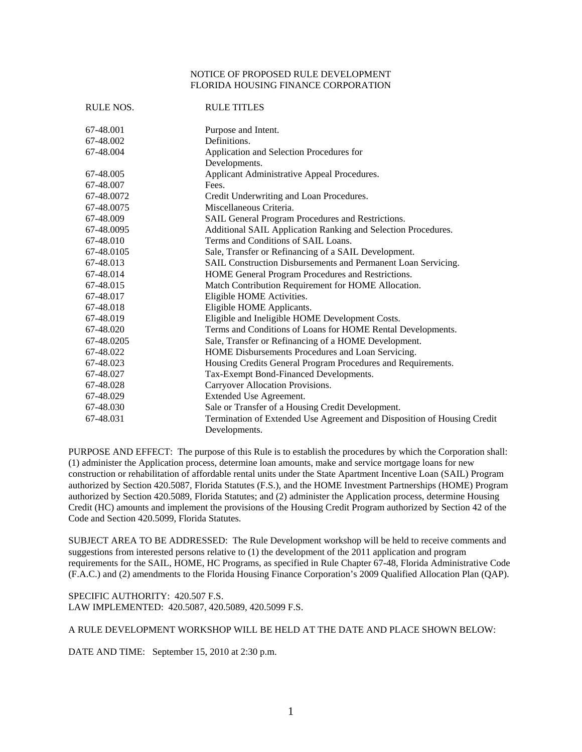## NOTICE OF PROPOSED RULE DEVELOPMENT FLORIDA HOUSING FINANCE CORPORATION

| RULE NOS.  | <b>RULE TITLES</b>                                                      |
|------------|-------------------------------------------------------------------------|
| 67-48.001  | Purpose and Intent.                                                     |
| 67-48.002  | Definitions.                                                            |
| 67-48.004  | Application and Selection Procedures for                                |
|            | Developments.                                                           |
| 67-48.005  | Applicant Administrative Appeal Procedures.                             |
| 67-48.007  | Fees.                                                                   |
| 67-48.0072 | Credit Underwriting and Loan Procedures.                                |
| 67-48.0075 | Miscellaneous Criteria.                                                 |
| 67-48.009  | SAIL General Program Procedures and Restrictions.                       |
| 67-48.0095 | Additional SAIL Application Ranking and Selection Procedures.           |
| 67-48.010  | Terms and Conditions of SAIL Loans.                                     |
| 67-48.0105 | Sale, Transfer or Refinancing of a SAIL Development.                    |
| 67-48.013  | SAIL Construction Disbursements and Permanent Loan Servicing.           |
| 67-48.014  | HOME General Program Procedures and Restrictions.                       |
| 67-48.015  | Match Contribution Requirement for HOME Allocation.                     |
| 67-48.017  | Eligible HOME Activities.                                               |
| 67-48.018  | Eligible HOME Applicants.                                               |
| 67-48.019  | Eligible and Ineligible HOME Development Costs.                         |
| 67-48.020  | Terms and Conditions of Loans for HOME Rental Developments.             |
| 67-48.0205 | Sale, Transfer or Refinancing of a HOME Development.                    |
| 67-48.022  | HOME Disbursements Procedures and Loan Servicing.                       |
| 67-48.023  | Housing Credits General Program Procedures and Requirements.            |
| 67-48.027  | Tax-Exempt Bond-Financed Developments.                                  |
| 67-48.028  | Carryover Allocation Provisions.                                        |
| 67-48.029  | Extended Use Agreement.                                                 |
| 67-48.030  | Sale or Transfer of a Housing Credit Development.                       |
| 67-48.031  | Termination of Extended Use Agreement and Disposition of Housing Credit |
|            | Developments.                                                           |

PURPOSE AND EFFECT: The purpose of this Rule is to establish the procedures by which the Corporation shall: (1) administer the Application process, determine loan amounts, make and service mortgage loans for new construction or rehabilitation of affordable rental units under the State Apartment Incentive Loan (SAIL) Program authorized by Section 420.5087, Florida Statutes (F.S.), and the HOME Investment Partnerships (HOME) Program authorized by Section 420.5089, Florida Statutes; and (2) administer the Application process, determine Housing Credit (HC) amounts and implement the provisions of the Housing Credit Program authorized by Section 42 of the Code and Section 420.5099, Florida Statutes.

SUBJECT AREA TO BE ADDRESSED: The Rule Development workshop will be held to receive comments and suggestions from interested persons relative to (1) the development of the 2011 application and program requirements for the SAIL, HOME, HC Programs, as specified in Rule Chapter 67-48, Florida Administrative Code (F.A.C.) and (2) amendments to the Florida Housing Finance Corporation's 2009 Qualified Allocation Plan (QAP).

SPECIFIC AUTHORITY: 420.507 F.S. LAW IMPLEMENTED: 420.5087, 420.5089, 420.5099 F.S.

A RULE DEVELOPMENT WORKSHOP WILL BE HELD AT THE DATE AND PLACE SHOWN BELOW:

DATE AND TIME: September 15, 2010 at 2:30 p.m.